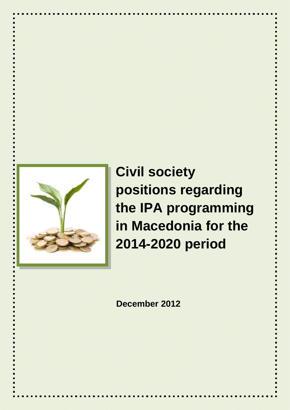

**Civil society positions regarding the IPA programming in Macedonia for the 2014-2020 period**

**December 2012**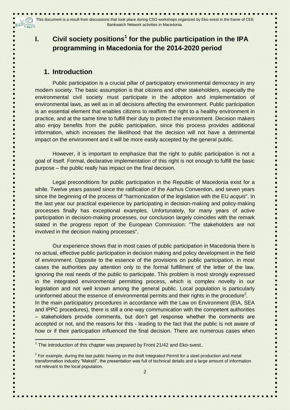# **I. Civil society positions<sup>1</sup> for the public participation in the IPA programming in Macedonia for the 2014-2020 period**

## **1. Introduction**

J (C)

Public participation is a crucial pillar of participatory environmental democracy in any modern society. The basic assumption is that citizens and other stakeholders, especially the environmental civil society must participate in the adoption and implementation of environmental laws, as well as in all decisions affecting the environment. Public participation is an essential element that enables citizens to reaffirm the right to a healthy environment in practice, and at the same time to fulfill their duty to protect the environment. Decision makers also enjoy benefits from the public participation, since this process provides additional information, which increases the likelihood that the decision will not have a detrimental impact on the environment and it will be more easily accepted by the general public.

However, it is important to emphasize that the right to public participation is not a goal of itself. Formal, declarative implementation of this right is not enough to fulfill the basic purpose – the public really has impact on the final decision.

Legal preconditions for public participation in the Republic of Macedonia exist for a while. Twelve years passed since the ratification of the Aarhus Convention, and seven years since the beginning of the process of "harmonization of the legislation with the EU *acquis*". In the last year our practical experience by participating in decision-making and policy-making processes finally has exceptional examples. Unfortunately, for many years of active participation in decision-making processes, our conclusion largely coincides with the remark stated in the progress report of the European Commission: "The stakeholders are not involved in the decision making processes".

Our experience shows that in most cases of public participation in Macedonia there is no actual, effective public participation in decision making and policy development in the field of environment. Opposite to the essence of the provisions on public participation, in most cases the authorities pay attention only to the formal fulfillment of the letter of the law, ignoring the real needs of the public to participate. This problem is most strongly expressed in the integrated environmental permitting process, which is complex novelty in our legislation and not well known among the general public. Local population is particularly uninformed about the essence of environmental permits and their rights in the procedure<sup>2</sup>. In the main participatory procedures in accordance with the Law on Environment (EIA, SEA and IPPC procedures), there is still a one-way communication with the competent authorities – stakeholders provide comments, but don"t get response whether the comments are accepted or not, and the reasons for this - leading to the fact that the public is not aware of how or if their participation influenced the final decision. There are numerous cases when

j

 $1$  The introduction of this chapter was prepared by Front 21/42 and Eko-svest..

 $2$  For example, during the last public hearing on the draft Integrated Permit for a steel production and metal transformation industry "Makstil", the presentation was full of technical details and a large amount of information not relevant to the local population.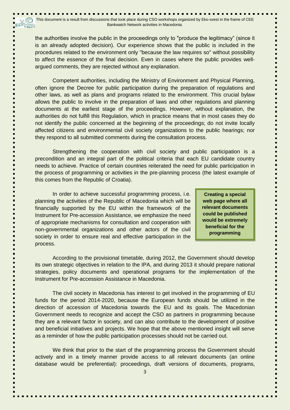the authorities involve the public in the proceedings only to "produce the legitimacy" (since it is an already adopted decision). Our experience shows that the public is included in the procedures related to the environment only "because the law requires so" without possibility to affect the essence of the final decision. Even in cases where the public provides wellargued comments, they are rejected without any explanation.

Competent authorities, including the Ministry of Environment and Physical Planning, often ignore the Decree for public participation during the preparation of regulations and other laws, as well as plans and programs related to the environment. This crucial bylaw allows the public to involve in the preparation of laws and other regulations and planning documents at the earliest stage of the proceedings. However, without explanation, the authorities do not fulfill this Regulation, which in practice means that in most cases they do not identify the public concerned at the beginning of the proceedings; do not invite locally affected citizens and environmental civil society organizations to the public hearings; nor they respond to all submitted comments during the consultation process.

Strengthening the cooperation with civil society and public participation is a precondition and an integral part of the political criteria that each EU candidate country needs to achieve. Practice of certain countries reiterated the need for public participation in the process of programming or activities in the pre-planning process (the latest example of this comes from the Republic of Croatia).

In order to achieve successful programming process, i.e. planning the activities of the Republic of Macedonia which will be financially supported by the EU within the framework of the Instrument for Pre-accession Assistance, we emphasize the need of appropriate mechanisms for consultation and cooperation with non-governmental organizations and other actors of the civil society in order to ensure real and effective participation in the process.

**Creating a special web page where all relevant documents could be published would be extremely beneficial for the programming**

According to the provisional timetable, during 2012, the Government should develop its own strategic objectives in relation to the IPA, and during 2013 it should prepare national strategies, policy documents and operational programs for the implementation of the Instrument for Pre-accession Assistance in Macedonia.

The civil society in Macedonia has interest to get involved in the programming of EU funds for the period 2014-2020, because the European funds should be utilized in the direction of accession of Macedonia towards the EU and its goals. The Macedonian Government needs to recognize and accept the CSO as partners in programming because they are a relevant factor in society, and can also contribute to the development of positive and beneficial initiatives and projects. We hope that the above mentioned insight will serve as a reminder of how the public participation processes should not be carried out.

We think that prior to the start of the programming process the Government should actively and in a timely manner provide access to all relevant documents (an online database would be preferential): proceedings, draft versions of documents, programs,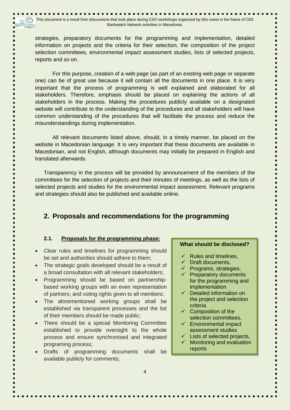strategies, preparatory documents for the programming and implementation, detailed information on projects and the criteria for their selection, the composition of the project selection committees, environmental impact assessment studies, lists of selected projects, reports and so on.

For this purpose, creation of a web page (as part of an existing web page or separate one) can be of great use because it will contain all the documents in one place. It is very important that the process of programming is well explained and elaborated for all stakeholders. Therefore, emphasis should be placed on explaining the actions of all stakeholders in the process. Making the procedures publicly available on a designated website will contribute to the understanding of the procedures and all stakeholders will have common understanding of the procedures that will facilitate the process and reduce the misunderstandings during implementation.

All relevant documents listed above, should, in a timely manner, be placed on the website in Macedonian language. It is very important that these documents are available in Macedonian, and not English, although documents may initially be prepared in English and translated afterwards.

Transparency in the process will be provided by announcement of the members of the committees for the selection of projects and their minutes of meetings, as well as the lists of selected projects and studies for the environmental impact assessment. Relevant programs and strategies should also be published and available online.

## **2. Proposals and recommendations for the programming**

### **2.1. Proposals for the programming phase:**

- Clear rules and timelines for programming should be set and authorities should adhere to them;
- The strategic goals developed should be a result of a broad consultation with all relevant stakeholders;
- Programming should be based on partnershipbased working groups with an even representation of partners; and voting rights given to all members;
- The aforementioned working groups shall be established via transparent processes and the list of their members should be made public;
- There should be a special Monitoring Committee established to provide oversight to the whole process and ensure synchronised and integrated programing process;
- Drafts of programming documents shall be available publicly for comments;

#### **What should be disclosed?**

- Rules and timelines,
- $\checkmark$  Draft documents,
- $\checkmark$  Programs, strategies,
- $\checkmark$  Preparatory documents for the programming and implementation
- $\checkmark$  Detailed information on the project and selection criteria
- $\checkmark$  Composition of the selection committees,
- $\checkmark$  Environmental impact assessment studies
- Lists of selected projects,
- Monitoring and evaluation reports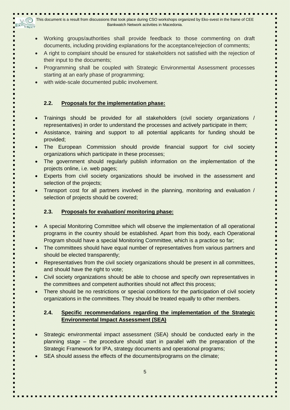This document is a result from discussions that took place during CSO workshops organized by Eko-svest in the frame of CEE  $E^{\widehat{KO}}$ cnecT Bankwatch Network activities in Macedonia.

- Working groups/authorities shall provide feedback to those commenting on draft documents, including providing explanations for the acceptance/rejection of comments;
- A right to complaint should be ensured for stakeholders not satisfied with the rejection of their input to the documents;
- Programming shall be coupled with Strategic Environmental Assessment processes starting at an early phase of programming;
- with wide-scale documented public involvement.

## **2.2. Proposals for the implementation phase:**

- Trainings should be provided for all stakeholders (civil society organizations / representatives) in order to understand the processes and actively participate in them;
- Assistance, training and support to all potential applicants for funding should be provided;
- The European Commission should provide financial support for civil society organizations which participate in these processes;
- The government should regularly publish information on the implementation of the projects online, i.e. web pages;
- Experts from civil society organizations should be involved in the assessment and selection of the projects;
- Transport cost for all partners involved in the planning, monitoring and evaluation / selection of projects should be covered;

## **2.3. Proposals for evaluation/ monitoring phase:**

- A special Monitoring Committee which will observe the implementation of all operational programs in the country should be established. Apart from this body, each Operational Program should have a special Monitoring Committee, which is a practice so far;
- The committees should have equal number of representatives from various partners and should be elected transparently;
- Representatives from the civil society organizations should be present in all committees, and should have the right to vote:
- Civil society organizations should be able to choose and specify own representatives in the committees and competent authorities should not affect this process;
- There should be no restrictions or special conditions for the participation of civil society organizations in the committees. They should be treated equally to other members.

## **2.4. Specific recommendations regarding the implementation of the Strategic Environmental Impact Assessment (SEA)**

- Strategic environmental impact assessment (SEA) should be conducted early in the planning stage – the procedure should start in parallel with the preparation of the Strategic Framework for IPA, strategy documents and operational programs;
- SEA should assess the effects of the documents/programs on the climate;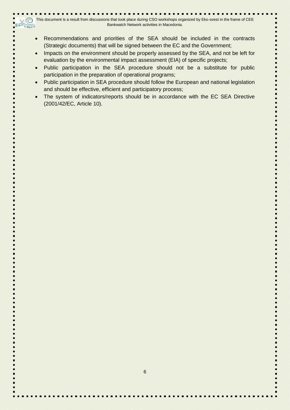- Recommendations and priorities of the SEA should be included in the contracts (Strategic documents) that will be signed between the EC and the Government;
- Impacts on the environment should be properly assessed by the SEA, and not be left for evaluation by the environmental impact assessment (EIA) of specific projects;
- Public participation in the SEA procedure should not be a substitute for public participation in the preparation of operational programs;
- Public participation in SEA procedure should follow the European and national legislation and should be effective, efficient and participatory process;
- The system of indicators/reports should be in accordance with the EC SEA Directive (2001/42/EC, Article 10).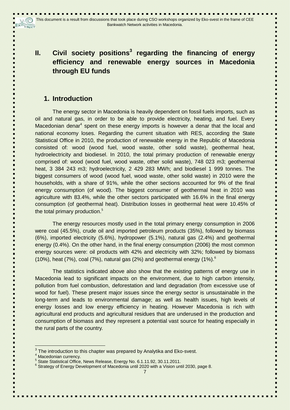# **II. Civil society positions<sup>3</sup> regarding the financing of energy efficiency and renewable energy sources in Macedonia through EU funds**

# **1. Introduction**

The energy sector in Macedonia is heavily dependent on fossil fuels imports, such as oil and natural gas, in order to be able to provide electricity, heating, and fuel. Every Macedonian denar<sup>4</sup> spent on these energy imports is however a denar that the local and national economy loses. Regarding the current situation with RES, according the State Statistical Office in 2010, the production of renewable energy in the Republic of Macedonia consisted of: wood (wood fuel, wood waste, other solid waste), geothermal heat, hydroelectricity and biodiesel. In 2010, the total primary production of renewable energy comprised of: wood (wood fuel, wood waste, other solid waste), 748 023 m3; geothermal heat, 3 384 243 m3; hydroelectricity, 2 429 283 MWh; and biodiesel 1 999 tonnes. The biggest consumers of wood (wood fuel, wood waste, other solid waste) in 2010 were the households, with a share of 91%, while the other sections accounted for 9% of the final energy consumption (of wood). The biggest consumer of geothermal heat in 2010 was agriculture with 83.4%, while the other sectors participated with 16.6% in the final energy consumption (of geothermal heat). Distribution losses in geothermal heat were 10.45% of the total primary production. 5

The energy resources mostly used in the total primary energy consumption in 2006 were coal (45.5%), crude oil and imported petroleum products (35%), followed by biomass (6%), imported electricity (5.6%), hydropower (5.1%), natural gas (2.4%) and geothermal energy (0.4%). On the other hand, in the final energy consumption (2006) the most common energy sources were: oil products with 42% and electricity with 32%; followed by biomass (10%), heat (7%), coal (7%), natural gas (2%) and geothermal energy (1%).<sup>6</sup>

The statistics indicated above also show that the existing patterns of energy use in Macedonia lead to significant impacts on the environment, due to high carbon intensity, pollution from fuel combustion, deforestation and land degradation (from excessive use of wood for fuel). These present major issues since the energy sector is unsustainable in the long-term and leads to environmental damage; as well as health issues, high levels of energy losses and low energy efficiency in heating. However Macedonia is rich with agricultural end products and agricultural residues that are underused in the production and consumption of biomass and they represent a potential vast source for heating especially in the rural parts of the country.

j

 $3$  The introduction to this chapter was prepared by Analytika and Eko-svest.

<sup>&</sup>lt;sup>4</sup> Macedonian currency.

<sup>5</sup> State Statistical Office, News Release, Energy No. 6.1.11.92, 30.11.2011.

<sup>&</sup>lt;sup>6</sup> Strategy of Energy Development of Macedonia until 2020 with a Vision until 2030, page 8.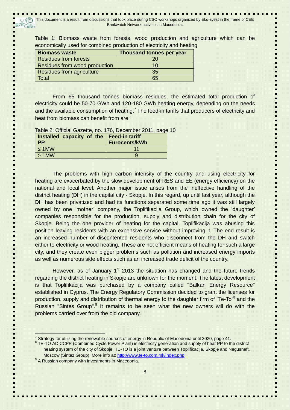Table 1: Biomass waste from forests, wood production and agriculture which can be economically used for combined production of electricity and heating

| <b>Biomass waste</b>             | Thousand tonnes per year |
|----------------------------------|--------------------------|
| <b>Residues from forests</b>     | 20                       |
| Residues from wood production    | 10                       |
| <b>Residues from agriculture</b> | 35                       |
| Total                            | 65                       |

From 65 thousand tonnes biomass residues, the estimated total production of electricity could be 50-70 GWh and 120-180 GWh heating energy, depending on the needs and the available consumption of heating.<sup>7</sup> The feed-in tariffs that producers of electricity and heat from biomass can benefit from are:

Table 2: Official Gazette, no. 176, December 2011, page 10

| Installed capacity of the   Feed-in tariff<br><b>PP</b> | Eurocents/kWh |
|---------------------------------------------------------|---------------|
| $\leq$ 1MW                                              |               |
| $>1$ MW                                                 |               |

The problems with high carbon intensity of the country and using electricity for heating are exacerbated by the slow development of RES and EE (energy efficiency) on the national and local level. Another major issue arises from the ineffective handling of the district heating (DH) in the capital city - Skopje. In this regard, up until last year, although the DH has been privatized and had its functions separated some time ago it was still largely owned by one "mother" company, the Toplifikacija Group, which owned the "daughter" companies responsible for the production, supply and distribution chain for the city of Skopje. Being the one provider of heating for the capital, Toplifikacija was abusing this position leaving residents with an expensive service without improving it. The end result is an increased number of discontented residents who disconnect from the DH and switch either to electricity or wood heating. These are not efficient means of heating for such a large city, and they create even bigger problems such as pollution and increased energy imports as well as numerous side effects such as an increased trade deficit of the country.

However, as of January  $1<sup>st</sup>$  2013 the situation has changed and the future trends regarding the district heating in Skopje are unknown for the moment. The latest development is that Toplifikacija was purchased by a company called "Balkan Energy Resource" established in Cyprus. The Energy Regulatory Commission decided to grant the licenses for production, supply and distribution of thermal energy to the daughter firm of "Te-To"<sup>8</sup> and the Russian "Sintes Group".<sup>9</sup> It remains to be seen what the new owners will do with the problems carried over from the old company.

j

<sup>7</sup> Strategy for utilizing the renewable sources of energy in Republic of Macedonia until 2020, page 41.

<sup>&</sup>lt;sup>8</sup> TE-TO AD CCPP (Combined Cycle Power Plant) is electricity generation and supply of heat PP to the district heating system of the city of Skopje. TE-TO is a joint venture between Toplifikacija, Skopje and Negusneft, Moscow (Sintez Group). More info at:<http://www.te-to.com.mk/index.php>

<sup>&</sup>lt;sup>9</sup> A Russian company with investments in Macedonia.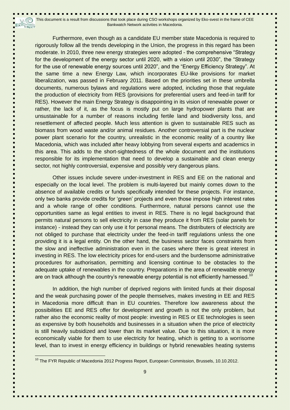This document is a result from discussions that took place during CSO workshops organized by Eko-svest in the frame of CEE V (C) EKO CHeCT Bankwatch Network activities in Macedonia.

Furthermore, even though as a candidate EU member state Macedonia is required to rigorously follow all the trends developing in the Union, the progress in this regard has been moderate. In 2010, three new energy strategies were adopted - the comprehensive "Strategy for the development of the energy sector until 2020, with a vision until 2030", the "Strategy for the use of renewable energy sources until 2020", and the "Energy Efficiency Strategy". At the same time a new Energy Law, which incorporates EU-like provisions for market liberalization, was passed in February 2011. Based on the priorities set in these umbrella documents, numerous bylaws and regulations were adopted, including those that regulate the production of electricity from RES (provisions for preferential users and feed-in tariff for RES). However the main Energy Strategy is disappointing in its vision of renewable power or rather, the lack of it, as the focus is mostly put on large hydropower plants that are unsustainable for a number of reasons including fertile land and biodiversity loss, and resettlement of affected people. Much less attention is given to sustainable RES such as biomass from wood waste and/or animal residues. Another controversial part is the nuclear power plant scenario for the country, unrealistic in the economic reality of a country like Macedonia, which was included after heavy lobbying from several experts and academics in this area. This adds to the short-sightedness of the whole document and the institutions responsible for its implementation that need to develop a sustainable and clean energy sector, not highly controversial, expensive and possibly very dangerous plans.

Other issues include severe under-investment in RES and EE on the national and especially on the local level. The problem is multi-layered but mainly comes down to the absence of available credits or funds specifically intended for these projects. For instance, only two banks provide credits for "green" projects and even those impose high interest rates and a whole range of other conditions. Furthermore, natural persons cannot use the opportunities same as legal entities to invest in RES. There is no legal background that permits natural persons to sell electricity in case they produce it from RES (solar panels for instance) - instead they can only use it for personal means. The distributers of electricity are not obliged to purchase that electricity under the feed-in tariff regulations unless the one providing it is a legal entity. On the other hand, the business sector faces constraints from the slow and ineffective administration even in the cases where there is great interest in investing in RES. The low electricity prices for end-users and the burdensome administrative procedures for authorisation, permitting and licensing continue to be obstacles to the adequate uptake of renewables in the country. Preparations in the area of renewable energy are on track although the country's renewable energy potential is not efficiently harnessed.<sup>10</sup>

In addition, the high number of deprived regions with limited funds at their disposal and the weak purchasing power of the people themselves, makes investing in EE and RES in Macedonia more difficult than in EU countries. Therefore low awareness about the possibilities EE and RES offer for development and growth is not the only problem, but rather also the economic reality of most people: investing in RES or EE technologies is seen as expensive by both households and businesses in a situation when the price of electricity is still heavily subsidized and lower than its market value. Due to this situation, it is more economically viable for them to use electricity for heating, which is getting to a worrisome level, than to invest in energy efficiency in buildings or hybrid renewables heating systems

i

<sup>&</sup>lt;sup>10</sup> The FYR Republic of Macedonia 2012 Progress Report, European Commission, Brussels, 10.10.2012.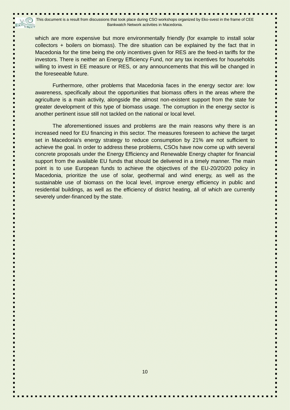which are more expensive but more environmentally friendly (for example to install solar collectors + boilers on biomass). The dire situation can be explained by the fact that in Macedonia for the time being the only incentives given for RES are the feed-in tariffs for the investors. There is neither an Energy Efficiency Fund, nor any tax incentives for households willing to invest in EE measure or RES, or any announcements that this will be changed in the foreseeable future.

Furthermore, other problems that Macedonia faces in the energy sector are: low awareness, specifically about the opportunities that biomass offers in the areas where the agriculture is a main activity, alongside the almost non-existent support from the state for greater development of this type of biomass usage. The corruption in the energy sector is another pertinent issue still not tackled on the national or local level.

The aforementioned issues and problems are the main reasons why there is an increased need for EU financing in this sector. The measures foreseen to achieve the target set in Macedonia's energy strategy to reduce consumption by 21% are not sufficient to achieve the goal. In order to address these problems, CSOs have now come up with several concrete proposals under the Energy Efficiency and Renewable Energy chapter for financial support from the available EU funds that should be delivered in a timely manner. The main point is to use European funds to achieve the objectives of the EU-20/20/20 policy in Macedonia, prioritize the use of solar, geothermal and wind energy, as well as the sustainable use of biomass on the local level, improve energy efficiency in public and residential buildings, as well as the efficiency of district heating, all of which are currently severely under-financed by the state.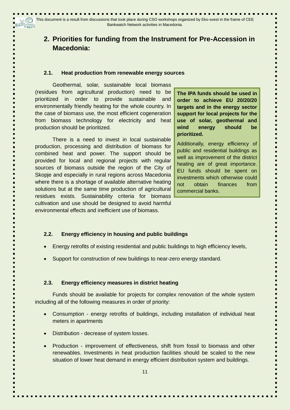# **2. Priorities for funding from the Instrument for Pre-Accession in Macedonia:**

#### **2.1. Heat production from renewable energy sources**

Geothermal, solar, sustainable local biomass (residues from agricultural production) need to be prioritized in order to provide sustainable and environmentally friendly heating for the whole country. In the case of biomass use, the most efficient cogeneration from biomass technology for electricity and heat production should be prioritized.

There is a need to invest in local sustainable production, processing and distribution of biomass for combined heat and power. The support should be provided for local and regional projects with regular sources of biomass outside the region of the City of Skopje and especially in rural regions across Macedonia where there is a shortage of available alternative heating solutions but at the same time production of agricultural residues exists. Sustainability criteria for biomass cultivation and use should be designed to avoid harmful environmental effects and inefficient use of biomass.

**The IPA funds should be used in order to achieve EU 20/20/20 targets and in the energy sector support for local projects for the use of solar, geothermal and wind energy should be prioritized.** 

Additionally, energy efficiency of public and residential buildings as well as improvement of the district heating are of great importance. EU funds should be spent on investments which otherwise could not obtain finances from commercial banks.

#### **2.2. Energy efficiency in housing and public buildings**

- Energy retrofits of existing residential and public buildings to high efficiency levels,
- Support for construction of new buildings to near-zero energy standard.

#### **2.3. Energy efficiency measures in district heating**

Funds should be available for projects for complex renovation of the whole system including all of the following measures in order of priority:

- Consumption energy retrofits of buildings, including installation of individual heat meters in apartments
- Distribution decrease of system losses.
- Production improvement of effectiveness, shift from fossil to biomass and other renewables. Investments in heat production facilities should be scaled to the new situation of lower heat demand in energy efficient distribution system and buildings.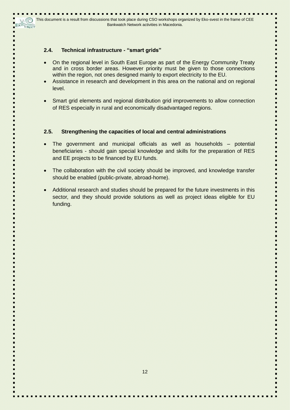## **2.4. Technical infrastructure - "smart grids"**

- On the regional level in South East Europe as part of the Energy Community Treaty and in cross border areas. However priority must be given to those connections within the region, not ones designed mainly to export electricity to the EU.
- Assistance in research and development in this area on the national and on regional level.
- Smart grid elements and regional distribution grid improvements to allow connection of RES especially in rural and economically disadvantaged regions.

## **2.5. Strengthening the capacities of local and central administrations**

- The government and municipal officials as well as households potential beneficiaries - should gain special knowledge and skills for the preparation of RES and EE projects to be financed by EU funds.
- The collaboration with the civil society should be improved, and knowledge transfer should be enabled (public-private, abroad-home).
- Additional research and studies should be prepared for the future investments in this sector, and they should provide solutions as well as project ideas eligible for EU funding.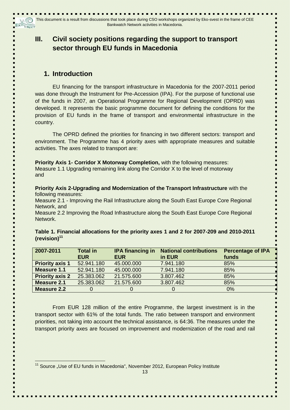# **III. Civil society positions regarding the support to transport sector through EU funds in Macedonia**

# **1. Introduction**

EU financing for the transport infrastructure in Macedonia for the 2007-2011 period was done through the Instrument for Pre-Accession (IPA). For the purpose of functional use of the funds in 2007, an Operational Programme for Regional Development (OPRD) was developed. It represents the basic programme document for defining the conditions for the provision of EU funds in the frame of transport and environmental infrastructure in the country.

The OPRD defined the priorities for financing in two different sectors: transport and environment. The Programme has 4 priority axes with appropriate measures and suitable activities. The axes related to transport are:

**Priority Axis 1- Corridor X Motorway Completion,** with the following measures: Measure 1.1 Upgrading remaining link along the Corridor X to the level of motorway and

**Priority Axis 2-Upgrading and Modernization of the Transport Infrastructure** with the following measures:

Measure 2.1 - Improving the Rail Infrastructure along the South East Europe Core Regional Network, and

Measure 2.2 Improving the Road Infrastructure along the South East Europe Core Regional **Network** 

| 2007-2011              | <b>Total in</b> | <b>IPA financing in</b> | <b>National contributions</b> | <b>Percentage of IPA</b> |  |
|------------------------|-----------------|-------------------------|-------------------------------|--------------------------|--|
|                        | <b>EUR</b>      | <b>EUR</b>              | in EUR                        | funds                    |  |
| <b>Priority axis 1</b> | 52.941.180      | 45,000,000              | 7.941.180                     | 85%                      |  |
| Measure 1.1            | 52.941.180      | 45,000,000              | 7.941.180                     | 85%                      |  |
| <b>Priority axis 2</b> | 25.383.062      | 21.575.600              | 3.807.462                     | 85%                      |  |
| Measure 2.1            | 25,383,062      | 21.575.600              | 3.807.462                     | 85%                      |  |
| <b>Measure 2.2</b>     | $\Omega$        | $\Omega$                | $\Omega$                      | 0%                       |  |
|                        |                 |                         |                               |                          |  |

| Table 1. Financial allocations for the priority axes 1 and 2 for 2007-209 and 2010-2011 |  |  |  |  |
|-----------------------------------------------------------------------------------------|--|--|--|--|
| $(revision)^{11}$                                                                       |  |  |  |  |

From EUR 128 million of the entire Programme, the largest investment is in the transport sector with 61% of the total funds. The ratio between transport and environment priorities, not taking into account the technical assistance, is 64:36. The measures under the transport priority axes are focused on improvement and modernization of the road and rail

j <sup>11</sup> Source "Use of EU funds in Macedonia", November 2012, European Policy Institute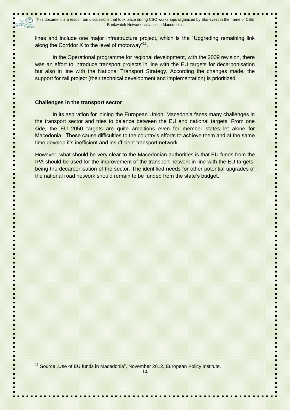lines and include one major infrastructure project, which is the "Upgrading remaining link along the Corridor X to the level of motorway"<sup>12</sup>.

In the Operational programme for regional development, with the 2009 revision, there was an effort to introduce transport projects in line with the EU targets for decarbonisation but also in line with the National Transport Strategy. According the changes made, the support for rail project (their technical development and implementation) is prioritized.

### **Challenges in the transport sector**

In its aspiration for joining the European Union, Macedonia faces many challenges in the transport sector and tries to balance between the EU and national targets. From one side, the EU 2050 targets are quite ambitions even for member states let alone for Macedonia. These cause difficulties to the country"s efforts to achieve them and at the same time develop it"s inefficient and insufficient transport network.

However, what should be very clear to the Macedonian authorities is that EU funds from the IPA should be used for the improvement of the transport network in line with the EU targets, being the decarbonisation of the sector. The identified needs for other potential upgrades of the national road network should remain to be funded from the state's budget.

 $12$  Source "Use of EU funds in Macedonia", November 2012, European Policy Institute.

j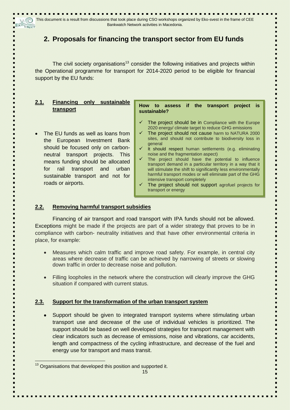# **2. Proposals for financing the transport sector from EU funds**

The civil society organisations<sup>13</sup> consider the following initiatives and projects within the Operational programme for transport for 2014-2020 period to be eligible for financial support by the EU funds:

| <b>Financing</b><br>sustainable<br>only<br>2.1.<br>transport                                                                                                                                                                                                                               | How to assess if the transport<br>project<br><b>IS</b><br>sustainable?                                                                                                                                                                                                                                                                                                                                                                                                                                                                                                                                                                                                                                     |
|--------------------------------------------------------------------------------------------------------------------------------------------------------------------------------------------------------------------------------------------------------------------------------------------|------------------------------------------------------------------------------------------------------------------------------------------------------------------------------------------------------------------------------------------------------------------------------------------------------------------------------------------------------------------------------------------------------------------------------------------------------------------------------------------------------------------------------------------------------------------------------------------------------------------------------------------------------------------------------------------------------------|
| The EU funds as well as loans from<br>the European Investment Bank<br>should be focused only on carbon-<br>neutral transport projects.<br>This<br>means funding should be allocated<br>transport<br>urban<br>for<br>and<br>rail<br>sustainable transport and not for<br>roads or airports. | The project should be in Compliance with the Europe<br>2020 energy/ climate target to reduce GHG emissions<br>The project should not cause harm to NATURA 2000<br>sites, and should not contribute to biodiversity loss in<br>general<br>It should respect human settlements (e.g. eliminating<br>noise and the fragmentation aspect)<br>The project should have the potential to influence<br>transport demand in a particular territory in a way that it<br>will stimulate the shift to significantly less environmentally<br>harmful transport modes or will eliminate part of the GHG<br>intensive transport completely<br>The project should not support agrofuel projects for<br>transport or energy |

## **2.2. Removing harmful transport subsidies**

Financing of air transport and road transport with IPA funds should not be allowed. Exceptions might be made if the projects are part of a wider strategy that proves to be in compliance with carbon- neutrality initiatives and that have other environmental criteria in place, for example:

- Measures which calm traffic and improve road safety. For example, in central city areas where decrease of traffic can be achieved by narrowing of streets or slowing down traffic in order to decrease noise and pollution.
- Filling loopholes in the network where the construction will clearly improve the GHG situation if compared with current status.

## **2.3. Support for the transformation of the urban transport system**

 Support should be given to integrated transport systems where stimulating urban transport use and decrease of the use of individual vehicles is prioritized. The support should be based on well developed strategies for transport management with clear indicators such as decrease of emissions, noise and vibrations, car accidents, length and compactness of the cycling infrastructure, and decrease of the fuel and energy use for transport and mass transit.

j <sup>13</sup> Organisations that developed this position and supported it.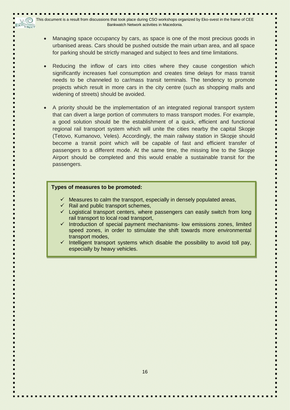- Managing space occupancy by cars, as space is one of the most precious goods in urbanised areas. Cars should be pushed outside the main urban area, and all space for parking should be strictly managed and subject to fees and time limitations.
- Reducing the inflow of cars into cities where they cause congestion which significantly increases fuel consumption and creates time delays for mass transit needs to be channeled to car/mass transit terminals. The tendency to promote projects which result in more cars in the city centre (such as shopping malls and widening of streets) should be avoided.
- A priority should be the implementation of an integrated regional transport system that can divert a large portion of commuters to mass transport modes. For example, a good solution should be the establishment of a quick, efficient and functional regional rail transport system which will unite the cities nearby the capital Skopje (Tetovo, Kumanovo, Veles). Accordingly, the main railway station in Skopje should become a transit point which will be capable of fast and efficient transfer of passengers to a different mode. At the same time, the missing line to the Skopje Airport should be completed and this would enable a sustainable transit for the passengers.

#### **Types of measures to be promoted:**

- $\checkmark$  Measures to calm the transport, especially in densely populated areas,
- $\checkmark$  Rail and public transport schemes,
- $\checkmark$  Logistical transport centers, where passengers can easily switch from long rail transport to local road transport,
- $\checkmark$  Introduction of special payment mechanisms- low emissions zones, limited speed zones, in order to stimulate the shift towards more environmental transport modes,
- $\checkmark$  Intelligent transport systems which disable the possibility to avoid toll pay, especially by heavy vehicles.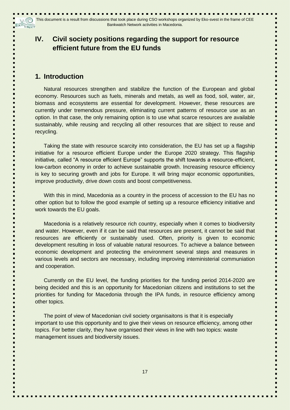# **IV. Civil society positions regarding the support for resource efficient future from the EU funds**

## **1. Introduction**

Natural resources strengthen and stabilize the function of the European and global economy. Resources such as fuels, minerals and metals, as well as food, soil, water, air, biomass and ecosystems are essential for development. However, these resources are currently under tremendous pressure, eliminating current patterns of resource use as an option. In that case, the only remaining option is to use what scarce resources are available sustainably, while reusing and recycling all other resources that are sibject to reuse and recycling.

Taking the state with resource scarcity into consideration, the EU has set up a flagship initiative for a resource efficient Europe under the Europe 2020 strategy. This flagship initiative, called "A resource efficient Europe" supports the shift towards a resource-efficient, low-carbon economy in order to achieve sustainable growth. Increasing resource efficiency is key to securing growth and jobs for Europe. It will bring major economic opportunities, improve productivity, drive down costs and boost competitiveness.

With this in mind, Macedonia as a country in the process of accession to the EU has no other option but to follow the good example of setting up a resource efficiency initiative and work towards the EU goals.

Macedonia is a relatively resource rich country, especially when it comes to biodiversity and water. However, even if it can be said that resources are present, it cannot be said that resources are efficiently or sustainably used. Often, priority is given to economic development resulting in loss of valuable natural resources. To achieve a balance between economic development and protecting the environment several steps and measures in various levels and sectors are necessary, including improving inteministerial communiation and cooperation.

Currently on the EU level, the funding priorities for the funding period 2014-2020 are being decided and this is an opportunity for Macedonian citizens and institutions to set the priorities for funding for Macedonia through the IPA funds, in resource efficiency among other topics.

The point of view of Macedonian civil society organisaitons is that it is especially important to use this opportunity and to give their views on resource efficiency, among other topics. For better clarity, they have organised their views in line with two topics: waste management issues and biodiversity issues.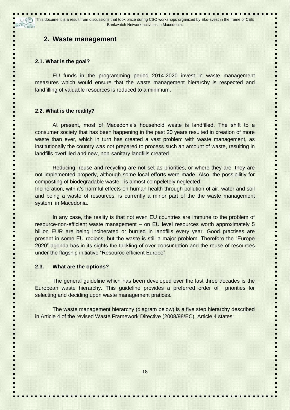## **2. Waste management**

### **2.1. What is the goal?**

EU funds in the programming period 2014-2020 invest in waste management measures which would ensure that the waste management hierarchy is respected and landfilling of valuable resources is reduced to a minimum.

### **2.2. What is the reality?**

At present, most of Macedonia"s household waste is landfilled. The shift to a consumer society that has been happening in the past 20 years resulted in creation of more waste than ever, which in turn has created a vast problem with waste management, as institutionally the country was not prepared to process such an amount of waste, resulting in landfills overfilled and new, non-sanitary landfills created.

Reducing, reuse and recycling are not set as priorities, or where they are, they are not implemented properly, although some local efforts were made. Also, the possibilitiy for composting of biodegradable waste - is almost compeletely neglected.

Incineration, with it"s harmful effects on human health through pollution of air, water and soil and being a waste of resources, is currently a minor part of the the waste management system in Macedonia.

In any case, the reality is that not even EU countries are immune to the problem of resource-non-efficient waste management – on EU level resources worth approximately 5 billion EUR are being incinerated or burried in landfills every year. Good practises are present in some EU regions, but the waste is still a major problem. Therefore the "Europe 2020" agenda has in its sights the tackling of over-consumption and the reuse of resources under the flagship initiative "Resource efficient Europe".

### **2.3. What are the options?**

The general guideline which has been developed over the last three decades is the European waste hierarchy. This guideline provides a preferred order of priorities for selecting and deciding upon waste management pratices.

The waste management hierarchy (diagram below) is a five step hierarchy described in Article 4 of the revised Waste Framework Directive (2008/98/EC). Article 4 states: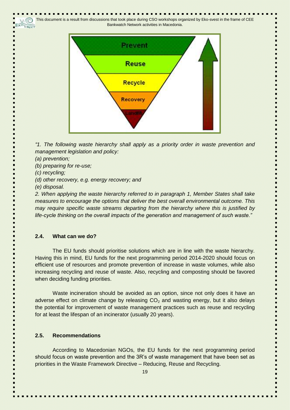This document is a result from discussions that took place during CSO workshops organized by Eko-svest in the frame of CEE (C)  $E^{\text{LO}}$ cnect Bankwatch Network activities in Macedonia.



*"1. The following waste hierarchy shall apply as a priority order in waste prevention and management legislation and policy:*

*(a) prevention;*

*(b) preparing for re-use;*

*(c) recycling;*

*(d) other recovery, e.g. energy recovery; and*

*(e) disposal.*

*2. When applying the waste hierarchy referred to in paragraph 1, Member States shall take measures to encourage the options that deliver the best overall environmental outcome. This may require specific waste streams departing from the hierarchy where this is justified by life-cycle thinking on the overall impacts of the generation and management of such waste."*

### **2.4. What can we do?**

The EU funds should prioritise solutions which are in line with the waste hierarchy. Having this in mind, EU funds for the next programming period 2014-2020 should focus on efficient use of resources and promote prevention of increase in waste volumes, while also increasing recycling and reuse of waste. Also, recycling and composting should be favored when deciding funding priorities.

Waste incineration should be avoided as an option, since not only does it have an adverse effect on climate change by releasing  $CO<sub>2</sub>$  and wasting energy, but it also delays the potential for improvement of waste management practices such as reuse and recycling for at least the lifespan of an incinerator (usually 20 years).

## **2.5. Recommendations**

According to Macedonian NGOs, the EU funds for the next programming period should focus on waste prevention and the 3R's of waste management that have been set as priorities in the Waste Framework Directive – Reducing, Reuse and Recycling.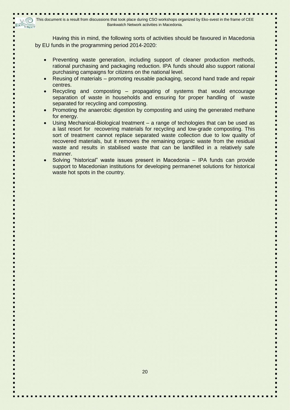Having this in mind, the following sorts of activities should be favoured in Macedonia by EU funds in the programming period 2014-2020:

- Preventing waste generation, including support of cleaner production methods, rational purchasing and packaging reduction. IPA funds should also support rational purchasing campaigns for citizens on the national level.
- Reusing of materials promoting reusable packaging, second hand trade and repair centres.
- Recycling and composting propagating of systems that would encourage separation of waste in households and ensuring for proper handling of waste separated for recycling and composting.
- Promoting the anaerobic digestion by composting and using the generated methane for energy.
- Using Mechanical-Biological treatment a range of techologies that can be used as a last resort for recovering materials for recycling and low-grade composting. This sort of treatment cannot replace separated waste collection due to low quality of recovered materials, but it removes the remaining organic waste from the residual waste and results in stabilised waste that can be landfilled in a relatively safe manner.
- Solving "historical" waste issues present in Macedonia IPA funds can provide support to Macedonian institutions for developing permanenet solutions for historical waste hot spots in the country.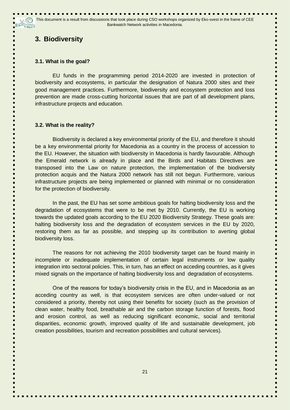# **3. Biodiversity**

### **3.1. What is the goal?**

EU funds in the programming period 2014-2020 are invested in protection of biodiversity and ecosystems, in particular the designation of Natura 2000 sites and their good management practices. Furthermore, biodiversity and ecosystem protection and loss prevention are made cross-cutting horizontal issues that are part of all development plans, infrastructure projects and education.

### **3.2. What is the reality?**

Biodiversity is declared a key environmental priority of the EU, and therefore it should be a key environmental priority for Macedonia as a country in the process of accession to the EU. However, the situation with biodiversity in Macedonia is hardly favourable. Although the Emerald network is already in place and the Birds and Habitats Directives are transposed into the Law on nature protection, the implementation of the biodiversity protection acquis and the Natura 2000 network has still not begun. Furthermore, various infrastructure projects are being implemented or planned with minimal or no consideration for the protection of biodiversity.

In the past, the EU has set some ambitious goals for halting biodiversity loss and the degradation of ecosystems that were to be met by 2010. Currently, the EU is working towards the updated goals according to the EU 2020 Biodiversity Strategy. These goals are: halting biodiversity loss and the degradation of ecosystem services in the EU by 2020, restoring them as far as possible, and stepping up its contribution to averting global biodiversity loss.

The reasons for not achieving the 2010 biodiversity target can be found mainly in incomplete or inadequate implementation of certain legal instruments or low quality integration into sectoral policies. This, in turn, has an effect on acceding countries, as it gives mixed signals on the importance of halting biodiversity loss and degradation of ecosystems.

One of the reasons for today"s biodiversity crisis in the EU, and in Macedonia as an acceding country as well, is that ecosystem services are often under-valued or not considered a priority, thereby not using their benefits for society (such as the provision of clean water, healthy food, breathable air and the carbon storage function of forests, flood and erosion control, as well as reducing significant economic, social and territorial disparities, economic growth, improved quality of life and sustainable development, job creation possibilities, tourism and recreation possibilities and cultural services).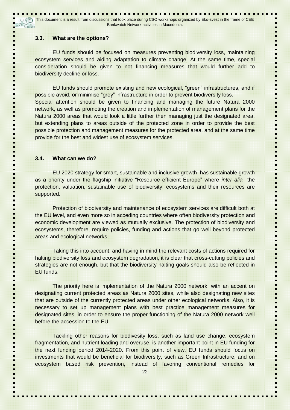#### **3.3. What are the options?**

EU funds should be focused on measures preventing biodiversity loss, maintaining ecosystem services and aiding adaptation to climate change. At the same time, special consideration should be given to not financing measures that would further add to biodiversity decline or loss.

EU funds should promote existing and new ecological, "green" infrastructures, and if possible avoid, or minimise "grey" infrastructure in order to prevent biodiversity loss. Special attention should be given to financing and managing the future Natura 2000 network, as well as promoting the creation and implementation of management plans for the Natura 2000 areas that would look a little further then managing just the designated area, but extending plans to areas outside of the protected zone in order to provide the best possible protection and management measures for the protected area, and at the same time provide for the best and widest use of ecosystem services.

### **3.4. What can we do?**

EU 2020 strategy for smart, sustainable and inclusive growth has sustainable growth as a priority under the flagship initiative "Resource efficient Europe" where *inter alia* the protection, valuation, sustainable use of biodiversity, ecosystems and their resources are supported.

Protection of biodiversity and maintenance of ecosystem services are difficult both at the EU level, and even more so in acceding countries where often biodiversity protection and economic development are viewed as mutually exclusive. The protection of biodiversity and ecosystems, therefore, require policies, funding and actions that go well beyond protected areas and ecological networks.

Taking this into account, and having in mind the relevant costs of actions required for halting biodiversity loss and ecosystem degradation, it is clear that cross-cutting policies and strategies are not enough, but that the biodiversity halting goals should also be reflected in EU funds.

The priority here is implementation of the Natura 2000 network, with an accent on designating current protected areas as Natura 2000 sites, while also designating new sites that are outside of the currently protected areas under other ecological networks. Also, it is necessary to set up management plans with best practice management measures for designated sites, in order to ensure the proper functioning of the Natura 2000 network well before the accession to the EU.

Tackling other reasons for biodivesity loss, such as land use change, ecosystem fragmentation, and nutrient loading and overuse, is another important point in EU funding for the next funding period 2014-2020. From this point of view, EU funds should focus on investments that would be beneficial for biodiversity, such as Green Infrastructure, and on ecosystem based risk prevention, instead of favoring conventional remedies for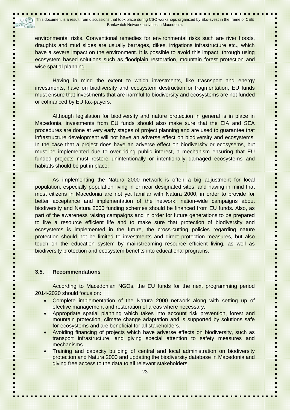environmental risks. Conventional remedies for environmental risks such are river floods, draughts and mud slides are usually barrages, dikes, irrigations infrastructure etc., which have a severe impact on the environment. It is possible to avoid this impact through using ecosystem based solutions such as floodplain restoration, mountain forest protection and wise spatial planning.

Having in mind the extent to which investments, like trasnsport and energy investments, have on biodiversity and ecosystem destruction or fragmentation, EU funds must ensure that investments that are harmful to biodiversity and ecosystems are not funded or cofinanced by EU tax-payers.

Although legislation for biodiversity and nature protection in general is in place in Macedonia, investments from EU funds should also make sure that the EIA and SEA procedures are done at very early stages of project planning and are used to guarantee that infrastructure development will not have an adverse effect on biodiversity and ecosystems. In the case that a project does have an adverse effect on biodiversity or ecosysems, but must be implemented due to over-riding public interest, a mechanism ensuring that EU funded projects must restore unintentionally or intentionally damaged ecosystems and habitats should be put in place.

As implementing the Natura 2000 network is often a big adjustment for local population, especially population living in or near designated sites, and having in mind that most citizens in Macedonia are not yet familiar with Natura 2000, in order to provide for better acceptance and implementation of the network, nation-wide campaigns about biodiversity and Natura 2000 funding schemes should be financed from EU funds. Also, as part of the awareness raising campaigns and in order for future generations to be prepared to live a resource efficient life and to make sure that protection of biodiversity and ecosystems is implemented in the future, the cross-cutting policies regarding nature protection should not be limited to investments and direct protection measures, but also touch on the education system by mainstreaming resource efficient living, as well as biodiversity protection and ecosystem benefits into educational programs.

### **3.5. Recommendations**

According to Macedonian NGOs, the EU funds for the next programming period 2014-2020 should focus on:

- Complete implementation of the Natura 2000 network along with setting up of efective management and restoration of areas where necessary.
- Appropriate spatial planning which takes into account risk prevention, forest and mountain protection, climate change adaptation and is supported by solutions safe for ecosystems and are beneficial for all stakeholders.
- Avoiding financing of projects which have adverse effects on biodiversity, such as transport infrastructure, and giving special attention to safety measures and mechanisms.
- Training and capacity building of central and local administration on biodiversity protection and Natura 2000 and updating the biodiversity database in Macedonia and giving free access to the data to all relevant stakeholders.